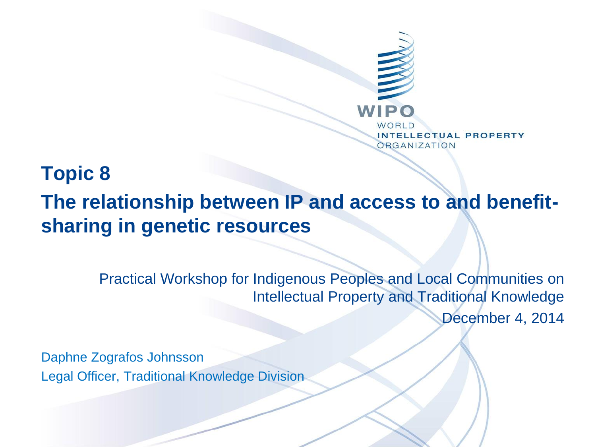

## **Topic 8**

## **The relationship between IP and access to and benefitsharing in genetic resources**

Practical Workshop for Indigenous Peoples and Local Communities on Intellectual Property and Traditional Knowledge December 4, 2014

Daphne Zografos Johnsson Legal Officer, Traditional Knowledge Division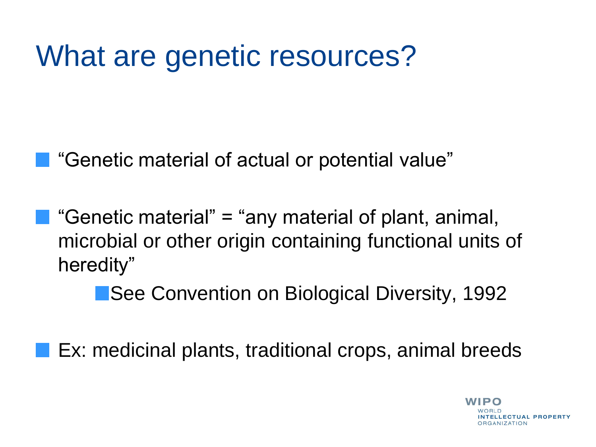# What are genetic resources?

"Genetic material of actual or potential value"

**C** "Genetic material" = "any material of plant, animal, microbial or other origin containing functional units of heredity"

See Convention on Biological Diversity, 1992

Ex: medicinal plants, traditional crops, animal breeds

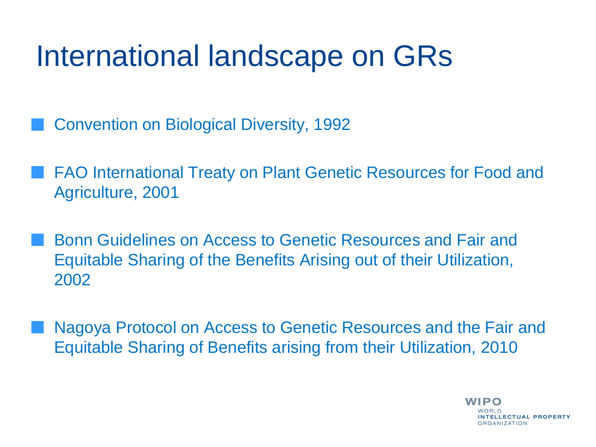# International landscape on GRs

- Convention on Biological Diversity, 1992
- FAO International Treaty on Plant Genetic Resources for Food and Agriculture, 2001
- Bonn Guidelines on Access to Genetic Resources and Fair and Equitable Sharing of the Benefits Arising out of their Utilization, 2002
- Nagoya Protocol on Access to Genetic Resources and the Fair and Equitable Sharing of Benefits arising from their Utilization, 2010

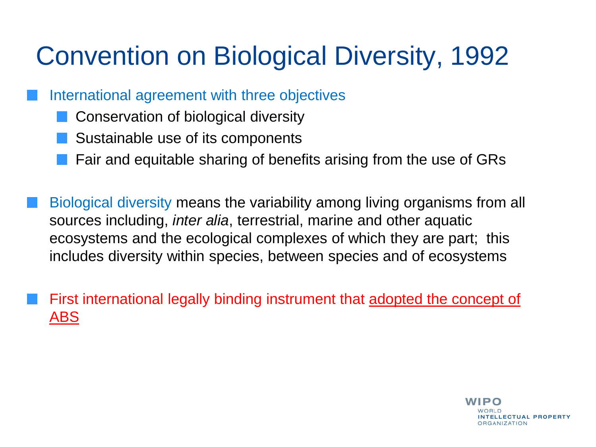# Convention on Biological Diversity, 1992

International agreement with three objectives

- Conservation of biological diversity
- Sustainable use of its components
- Fair and equitable sharing of benefits arising from the use of GRs

Biological diversity means the variability among living organisms from all sources including, *inter alia*, terrestrial, marine and other aquatic ecosystems and the ecological complexes of which they are part; this includes diversity within species, between species and of ecosystems

First international legally binding instrument that adopted the concept of ABS

> **WIPO** NTELLECTUAL PROPERTY ORGANIZATION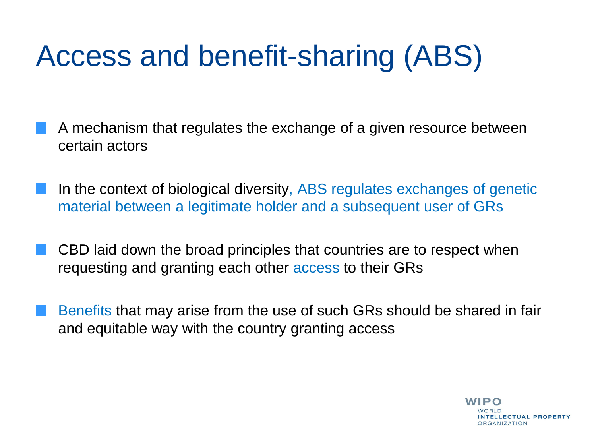# Access and benefit-sharing (ABS)

- A mechanism that regulates the exchange of a given resource between certain actors
- In the context of biological diversity, ABS regulates exchanges of genetic material between a legitimate holder and a subsequent user of GRs
- CBD laid down the broad principles that countries are to respect when requesting and granting each other access to their GRs
- Benefits that may arise from the use of such GRs should be shared in fair and equitable way with the country granting access

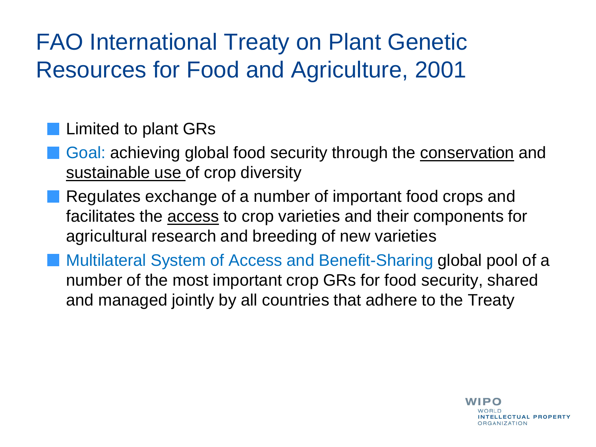## FAO International Treaty on Plant Genetic Resources for Food and Agriculture, 2001

## **Limited to plant GRs**

- Goal: achieving global food security through the conservation and sustainable use of crop diversity
- Regulates exchange of a number of important food crops and facilitates the access to crop varieties and their components for agricultural research and breeding of new varieties
- Multilateral System of Access and Benefit-Sharing global pool of a number of the most important crop GRs for food security, shared and managed jointly by all countries that adhere to the Treaty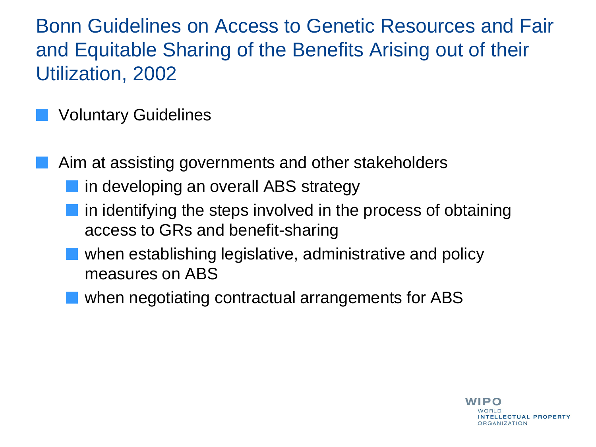Bonn Guidelines on Access to Genetic Resources and Fair and Equitable Sharing of the Benefits Arising out of their Utilization, 2002

## Voluntary Guidelines

Aim at assisting governments and other stakeholders

- **n** in developing an overall ABS strategy
- $\blacksquare$  in identifying the steps involved in the process of obtaining access to GRs and benefit-sharing
	- when establishing legislative, administrative and policy measures on ABS
	- when negotiating contractual arrangements for ABS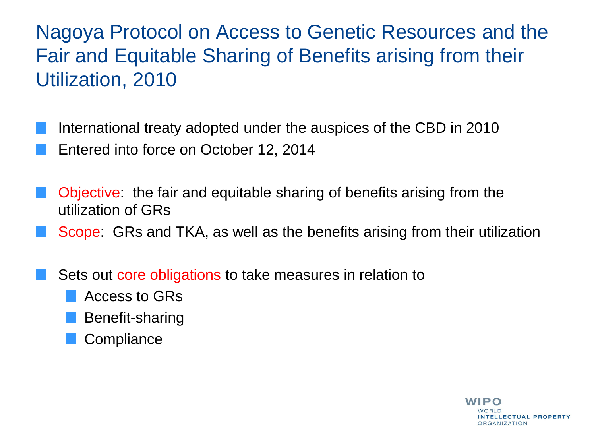Nagoya Protocol on Access to Genetic Resources and the Fair and Equitable Sharing of Benefits arising from their Utilization, 2010

International treaty adopted under the auspices of the CBD in 2010

Entered into force on October 12, 2014

Objective: the fair and equitable sharing of benefits arising from the utilization of GRs

Scope: GRs and TKA, as well as the benefits arising from their utilization

Sets out core obligations to take measures in relation to

- Access to GRs
- Benefit-sharing
- **Compliance**

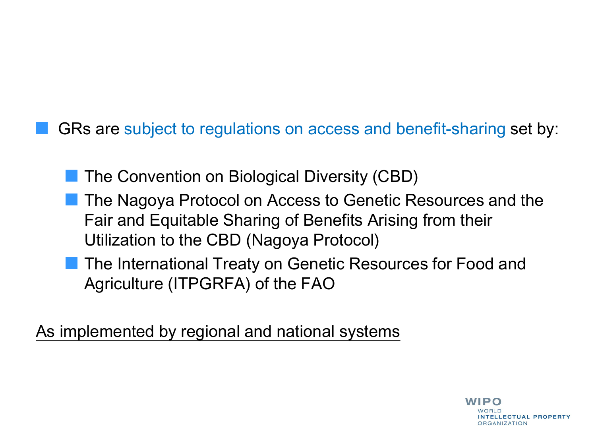GRs are subject to regulations on access and benefit-sharing set by:

**The Convention on Biological Diversity (CBD)** 

- The Nagoya Protocol on Access to Genetic Resources and the Fair and Equitable Sharing of Benefits Arising from their Utilization to the CBD (Nagoya Protocol)
- **The International Treaty on Genetic Resources for Food and** Agriculture (ITPGRFA) of the FAO

As implemented by regional and national systems

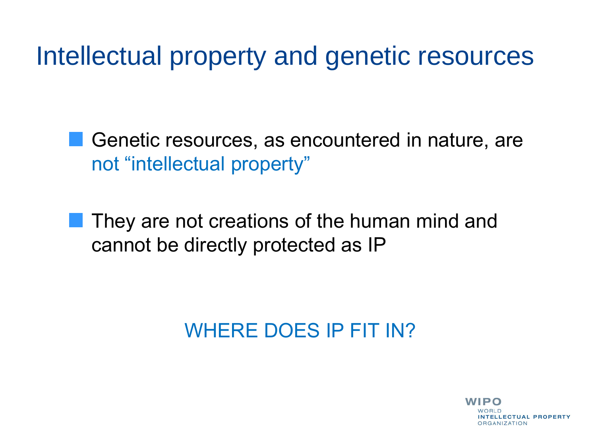Intellectual property and genetic resources

Genetic resources, as encountered in nature, are not "intellectual property"

They are not creations of the human mind and cannot be directly protected as IP

## WHERE DOES IP FIT IN?

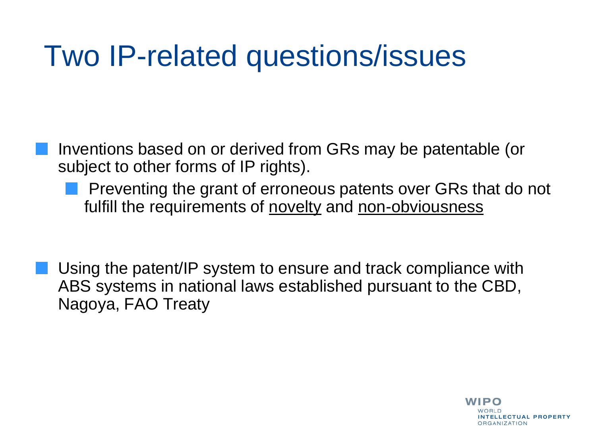# Two IP-related questions/issues

- Inventions based on or derived from GRs may be patentable (or subject to other forms of IP rights).
	- Preventing the grant of erroneous patents over GRs that do not fulfill the requirements of novelty and non-obviousness
- Using the patent/IP system to ensure and track compliance with ABS systems in national laws established pursuant to the CBD, Nagoya, FAO Treaty

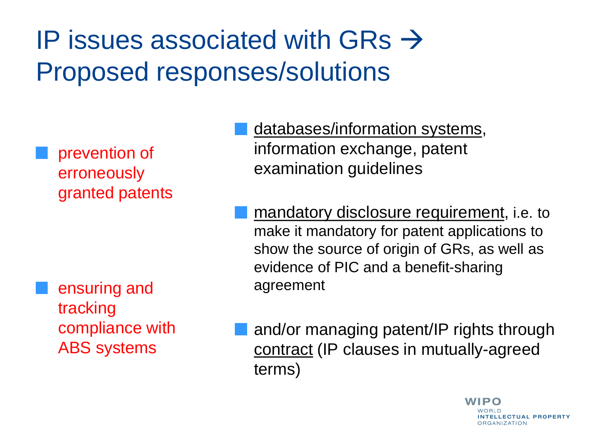# IP issues associated with GRs  $\rightarrow$ Proposed responses/solutions

prevention of erroneously granted patents

ensuring and tracking compliance with ABS systems

- databases/information systems, information exchange, patent examination guidelines
- mandatory disclosure requirement, i.e. to make it mandatory for patent applications to show the source of origin of GRs, as well as evidence of PIC and a benefit-sharing agreement

and/or managing patent/IP rights through contract (IP clauses in mutually-agreed terms)

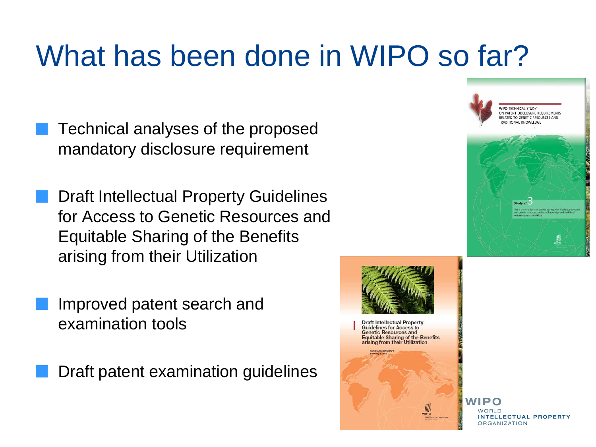# What has been done in WIPO so far?

- Technical analyses of the proposed mandatory disclosure requirement
- Draft Intellectual Property Guidelines for Access to Genetic Resources and Equitable Sharing of the Benefits arising from their Utilization
	- Improved patent search and examination tools
	- Draft patent examination guidelines





**NIPO** LLECTUAL PROPERTY ORGANIZATION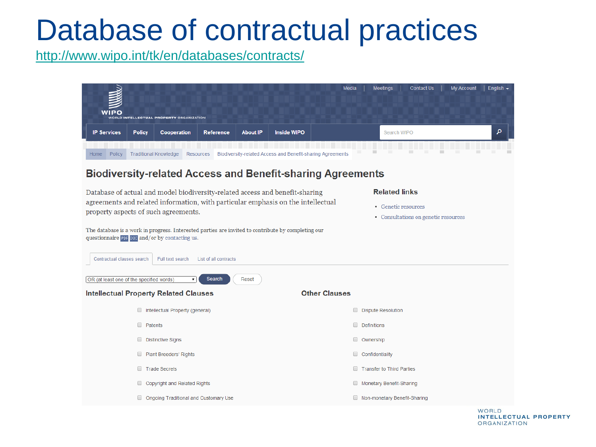# Database of contractual practices

<http://www.wipo.int/tk/en/databases/contracts/>



WORLD **INTELLECTUAL PROPERTY ORGANIZATION**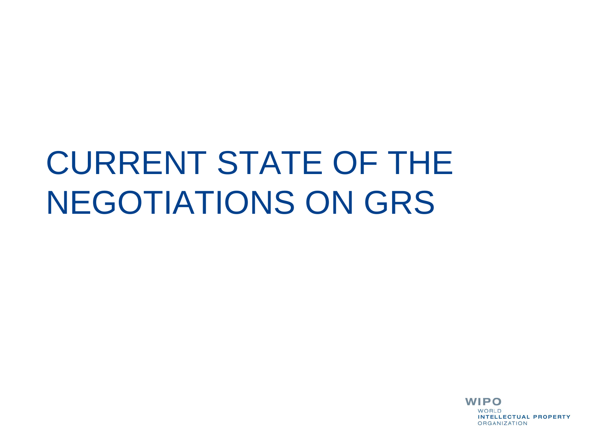# CURRENT STATE OF THE NEGOTIATIONS ON GRS

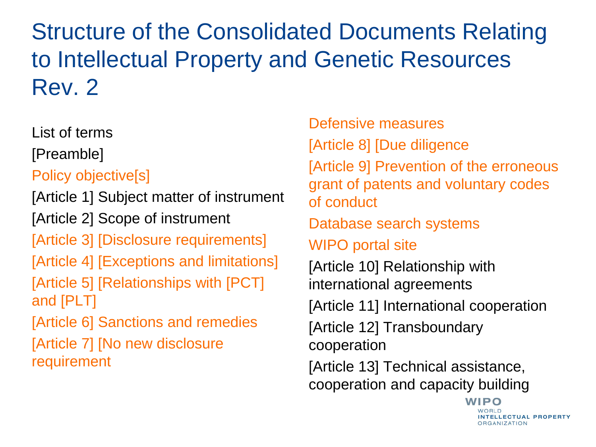Structure of the Consolidated Documents Relating to Intellectual Property and Genetic Resources Rev. 2

List of terms

[Preamble]

Policy objective[s]

[Article 1] Subject matter of instrument

[Article 2] Scope of instrument

[Article 3] [Disclosure requirements]

[Article 4] [Exceptions and limitations]

[Article 5] [Relationships with [PCT] and [PLT]

[Article 6] Sanctions and remedies

[Article 7] [No new disclosure requirement

Defensive measures [Article 8] [Due diligence [Article 9] Prevention of the erroneous grant of patents and voluntary codes of conduct Database search systems WIPO portal site [Article 10] Relationship with international agreements [Article 11] International cooperation [Article 12] Transboundary cooperation [Article 13] Technical assistance, cooperation and capacity building

> WIPO WORLD **NTELLECTUAL PROPERTY DRGANIZATION**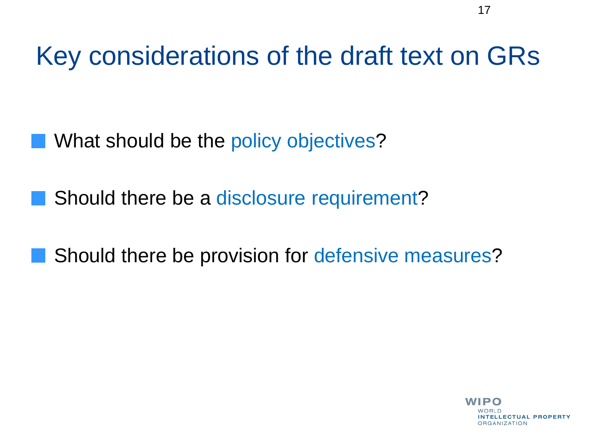Key considerations of the draft text on GRs

What should be the policy objectives?

Should there be a disclosure requirement?

Should there be provision for defensive measures?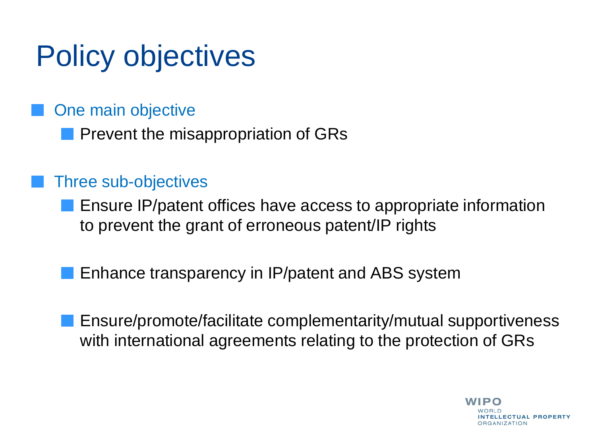# Policy objectives

One main objective

**Prevent the misappropriation of GRs** 

### Three sub-objectives

**E** Ensure IP/patent offices have access to appropriate information to prevent the grant of erroneous patent/IP rights

**Enhance transparency in IP/patent and ABS system** 

Ensure/promote/facilitate complementarity/mutual supportiveness with international agreements relating to the protection of GRs

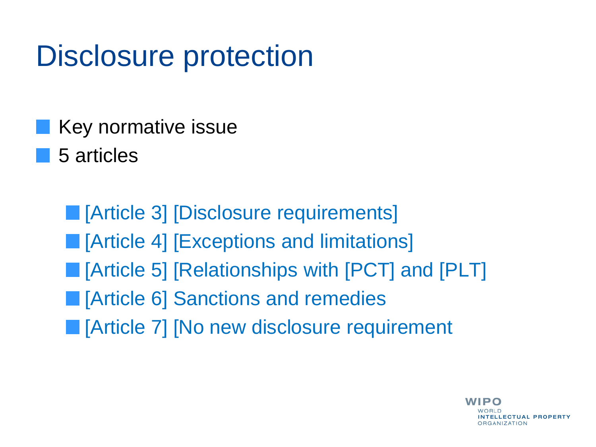# Disclosure protection

- Key normative issue
- 5 articles

**[Article 3] [Disclosure requirements] E** [Article 4] [Exceptions and limitations] **E** [Article 5] [Relationships with [PCT] and [PLT] **E** [Article 6] Sanctions and remedies **IFF** [Article 7] [No new disclosure requirement

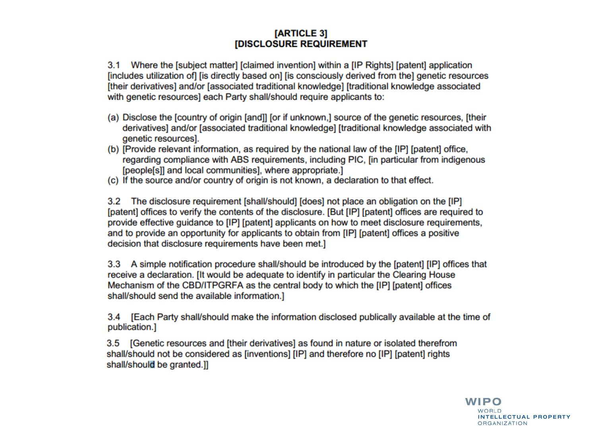### [ARTICLE 3] **IDISCLOSURE REQUIREMENT**

3.1 Where the [subject matter] [claimed invention] within a [IP Rights] [patent] application [includes utilization of] [is directly based on] [is consciously derived from the] genetic resources [their derivatives] and/or [associated traditional knowledge] [traditional knowledge associated with genetic resources] each Party shall/should require applicants to:

- (a) Disclose the [country of origin [and]] [or if unknown,] source of the genetic resources, [their derivatives] and/or [associated traditional knowledge] [traditional knowledge associated with genetic resources].
- (b) [Provide relevant information, as required by the national law of the [IP] [patent] office, regarding compliance with ABS requirements, including PIC, [in particular from indigenous [people[s]] and local communities], where appropriate.]
- (c) If the source and/or country of origin is not known, a declaration to that effect.

3.2 The disclosure requirement [shall/should] [does] not place an obligation on the [IP] [patent] offices to verify the contents of the disclosure. [But [IP] [patent] offices are required to provide effective guidance to [IP] [patent] applicants on how to meet disclosure requirements, and to provide an opportunity for applicants to obtain from [IP] [patent] offices a positive decision that disclosure requirements have been met.]

3.3 A simple notification procedure shall/should be introduced by the [patent] [IP] offices that receive a declaration. [It would be adequate to identify in particular the Clearing House Mechanism of the CBD/ITPGRFA as the central body to which the [IP] [patent] offices shall/should send the available information.]

3.4 [Each Party shall/should make the information disclosed publically available at the time of publication.]

3.5 [Genetic resources and [their derivatives] as found in nature or isolated therefrom shall/should not be considered as [inventions] [IP] and therefore no [IP] [patent] rights shall/should be granted.]]

> **WIPO** WORLD. **INTELLECTUAL PROPERTY ORGANIZATION**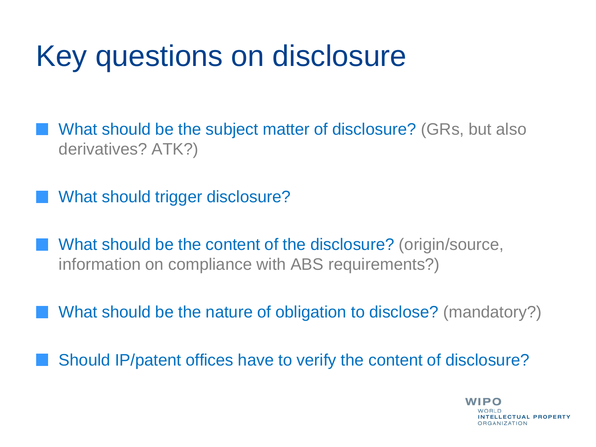# Key questions on disclosure

What should be the subject matter of disclosure? (GRs, but also derivatives? ATK?)

What should trigger disclosure?

- What should be the content of the disclosure? (origin/source, information on compliance with ABS requirements?)
	- What should be the nature of obligation to disclose? (mandatory?)

Should IP/patent offices have to verify the content of disclosure?

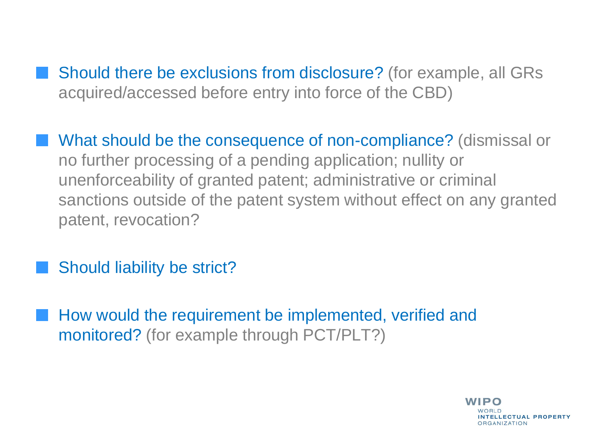- Should there be exclusions from disclosure? (for example, all GRs acquired/accessed before entry into force of the CBD)
- What should be the consequence of non-compliance? (dismissal or no further processing of a pending application; nullity or unenforceability of granted patent; administrative or criminal sanctions outside of the patent system without effect on any granted patent, revocation?
- Should liability be strict?
- How would the requirement be implemented, verified and monitored? (for example through PCT/PLT?)

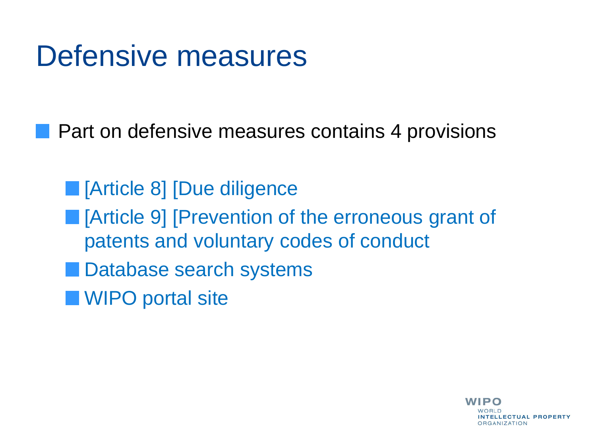# Defensive measures

**Part on defensive measures contains 4 provisions** 

**[Article 8] [Due diligence** 

- **Fig. 4** [Article 9] [Prevention of the erroneous grant of patents and voluntary codes of conduct
- **Database search systems**
- **WIPO** portal site

WIPO NTELLECTUAL PROPERTY ORGANIZATION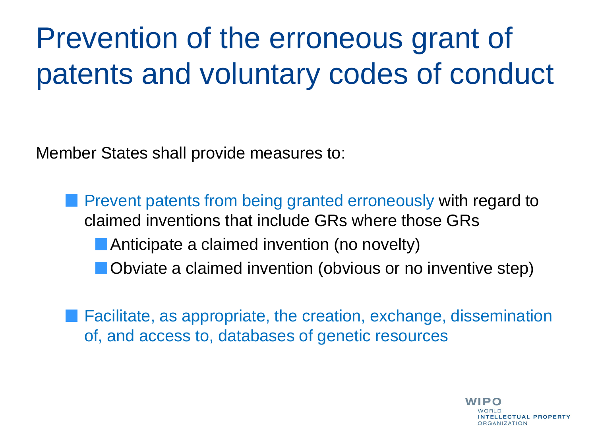# Prevention of the erroneous grant of patents and voluntary codes of conduct

Member States shall provide measures to:

**Prevent patents from being granted erroneously with regard to** claimed inventions that include GRs where those GRs **Anticipate a claimed invention (no novelty) Obviate a claimed invention (obvious or no inventive step)** 

Facilitate, as appropriate, the creation, exchange, dissemination of, and access to, databases of genetic resources

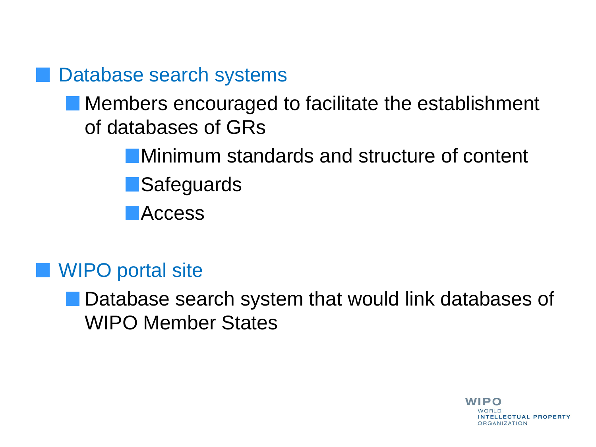## Database search systems

## **Members encouraged to facilitate the establishment** of databases of GRs

Minimum standards and structure of content **Safeguards** 

**Access** 

## WIPO portal site

**Database search system that would link databases of** WIPO Member States

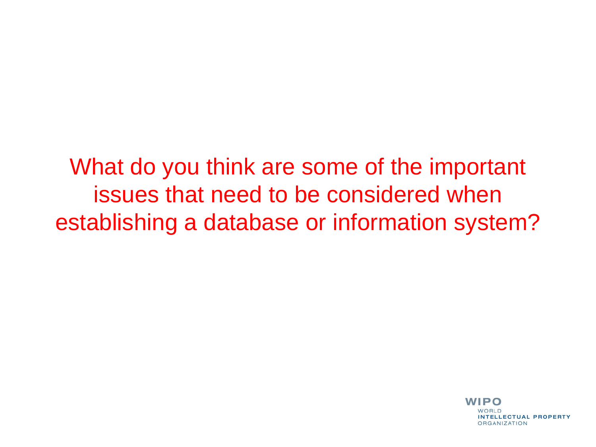What do you think are some of the important issues that need to be considered when establishing a database or information system?

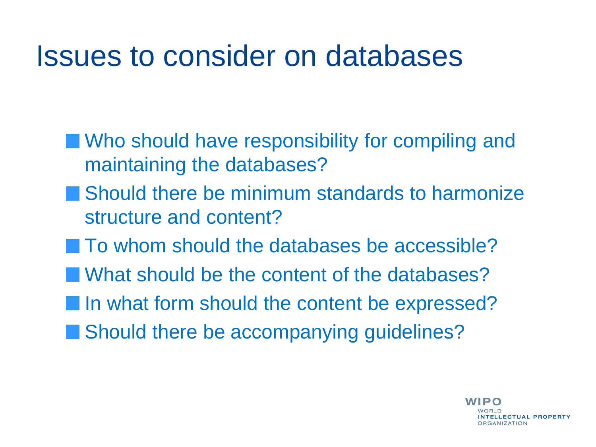# Issues to consider on databases

- **No should have responsibility for compiling and** maintaining the databases?
- **Should there be minimum standards to harmonize** structure and content?
- To whom should the databases be accessible?
- **Notabally Music Should be the content of the databases?**
- In what form should the content be expressed?
- Should there be accompanying guidelines?